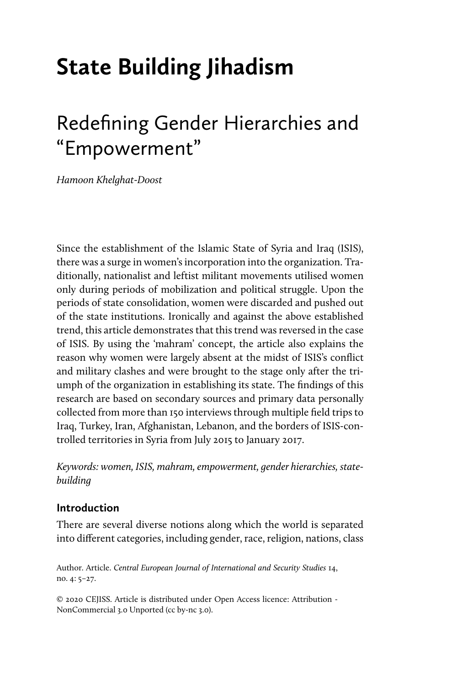# **State Building Jihadism**

# Redefining Gender Hierarchies and "Empowerment"

*Hamoon Khelghat-Doost*

Since the establishment of the Islamic State of Syria and Iraq (ISIS), there was a surge in women's incorporation into the organization. Traditionally, nationalist and leftist militant movements utilised women only during periods of mobilization and political struggle. Upon the periods of state consolidation, women were discarded and pushed out of the state institutions. Ironically and against the above established trend, this article demonstrates that this trend was reversed in the case of ISIS. By using the 'mahram' concept, the article also explains the reason why women were largely absent at the midst of ISIS's conflict and military clashes and were brought to the stage only after the triumph of the organization in establishing its state. The findings of this research are based on secondary sources and primary data personally collected from more than 150 interviews through multiple field trips to Iraq, Turkey, Iran, Afghanistan, Lebanon, and the borders of ISIS-controlled territories in Syria from July 2015 to January 2017.

*Keywords: women, ISIS, mahram, empowerment, gender hierarchies, statebuilding* 

# **Introduction**

There are several diverse notions along which the world is separated into different categories, including gender, race, religion, nations, class

Author. Article. *Central European Journal of International and Security Studies* 14, no. 4: 5–27.

© 2020 CEJISS. Article is distributed under Open Access licence: Attribution - NonCommercial 3.0 Unported (cc by-nc 3.0).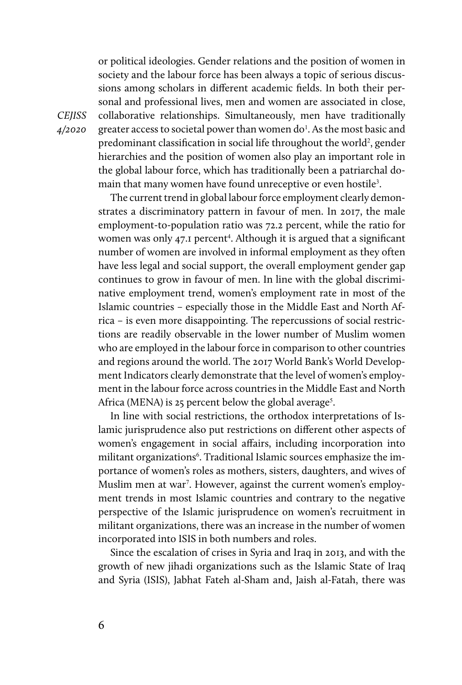or political ideologies. Gender relations and the position of women in society and the labour force has been always a topic of serious discussions among scholars in different academic fields. In both their personal and professional lives, men and women are associated in close, collaborative relationships. Simultaneously, men have traditionally greater access to societal power than women do<sup>1</sup>. As the most basic and predominant classification in social life throughout the world<sup>2</sup>, gender hierarchies and the position of women also play an important role in the global labour force, which has traditionally been a patriarchal domain that many women have found unreceptive or even hostile<sup>3</sup>.

The current trend in global labour force employment clearly demonstrates a discriminatory pattern in favour of men. In 2017, the male employment-to-population ratio was 72.2 percent, while the ratio for women was only 47.1 percent<sup>4</sup>. Although it is argued that a significant number of women are involved in informal employment as they often have less legal and social support, the overall employment gender gap continues to grow in favour of men. In line with the global discriminative employment trend, women's employment rate in most of the Islamic countries – especially those in the Middle East and North Africa – is even more disappointing. The repercussions of social restrictions are readily observable in the lower number of Muslim women who are employed in the labour force in comparison to other countries and regions around the world. The 2017 World Bank's World Development Indicators clearly demonstrate that the level of women's employment in the labour force across countries in the Middle East and North Africa (MENA) is 25 percent below the global average<sup>5</sup>.

In line with social restrictions, the orthodox interpretations of Islamic jurisprudence also put restrictions on different other aspects of women's engagement in social affairs, including incorporation into militant organizations<sup>6</sup>. Traditional Islamic sources emphasize the importance of women's roles as mothers, sisters, daughters, and wives of Muslim men at war<sup>7</sup>. However, against the current women's employment trends in most Islamic countries and contrary to the negative perspective of the Islamic jurisprudence on women's recruitment in militant organizations, there was an increase in the number of women incorporated into ISIS in both numbers and roles.

Since the escalation of crises in Syria and Iraq in 2013, and with the growth of new jihadi organizations such as the Islamic State of Iraq and Syria (ISIS), Jabhat Fateh al-Sham and, Jaish al-Fatah, there was

*CEJISS 4/2020*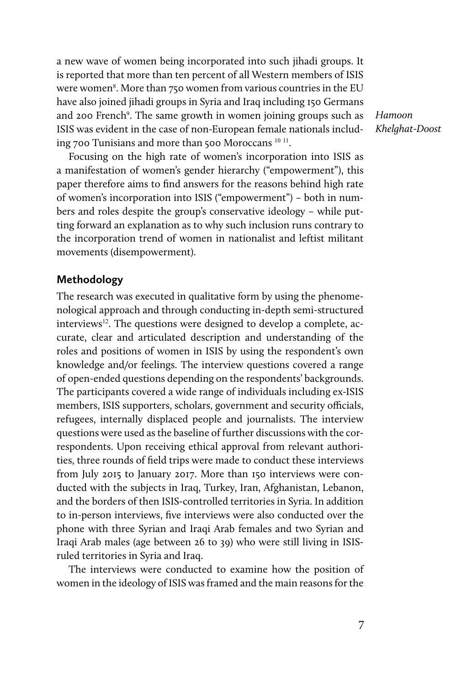a new wave of women being incorporated into such jihadi groups. It is reported that more than ten percent of all Western members of ISIS were women $^8$ . More than 750 women from various countries in the EU have also joined jihadi groups in Syria and Iraq including 150 Germans and 200 French<sup>9</sup>. The same growth in women joining groups such as ISIS was evident in the case of non-European female nationals including 700 Tunisians and more than 500 Moroccans <sup>10</sup> <sup>11</sup>.

Focusing on the high rate of women's incorporation into ISIS as a manifestation of women's gender hierarchy ("empowerment"), this paper therefore aims to find answers for the reasons behind high rate of women's incorporation into ISIS ("empowerment") – both in numbers and roles despite the group's conservative ideology – while putting forward an explanation as to why such inclusion runs contrary to the incorporation trend of women in nationalist and leftist militant movements (disempowerment).

#### **Methodology**

The research was executed in qualitative form by using the phenomenological approach and through conducting in-depth semi-structured interviews<sup>12</sup>. The questions were designed to develop a complete, accurate, clear and articulated description and understanding of the roles and positions of women in ISIS by using the respondent's own knowledge and/or feelings. The interview questions covered a range of open-ended questions depending on the respondents' backgrounds. The participants covered a wide range of individuals including ex-ISIS members, ISIS supporters, scholars, government and security officials, refugees, internally displaced people and journalists. The interview questions were used as the baseline of further discussions with the correspondents. Upon receiving ethical approval from relevant authorities, three rounds of field trips were made to conduct these interviews from July 2015 to January 2017. More than 150 interviews were conducted with the subjects in Iraq, Turkey, Iran, Afghanistan, Lebanon, and the borders of then ISIS-controlled territories in Syria. In addition to in-person interviews, five interviews were also conducted over the phone with three Syrian and Iraqi Arab females and two Syrian and Iraqi Arab males (age between 26 to 39) who were still living in ISISruled territories in Syria and Iraq.

The interviews were conducted to examine how the position of women in the ideology of ISIS was framed and the main reasons for the *Hamoon Khelghat-Doost*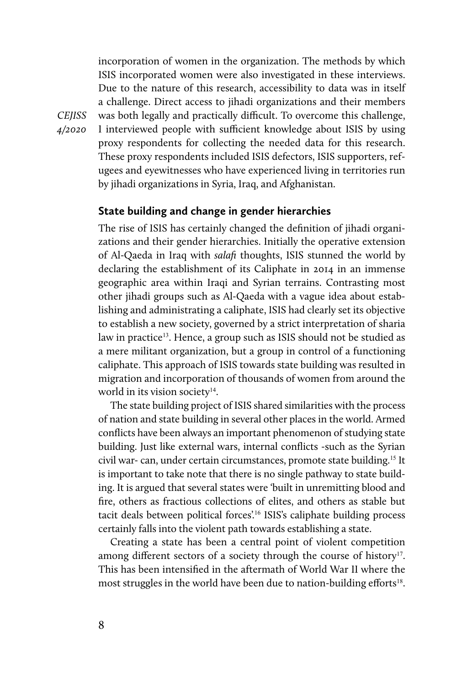incorporation of women in the organization. The methods by which ISIS incorporated women were also investigated in these interviews. Due to the nature of this research, accessibility to data was in itself a challenge. Direct access to jihadi organizations and their members was both legally and practically difficult. To overcome this challenge, I interviewed people with sufficient knowledge about ISIS by using proxy respondents for collecting the needed data for this research. These proxy respondents included ISIS defectors, ISIS supporters, refugees and eyewitnesses who have experienced living in territories run by jihadi organizations in Syria, Iraq, and Afghanistan.

# **State building and change in gender hierarchies**

The rise of ISIS has certainly changed the definition of jihadi organizations and their gender hierarchies. Initially the operative extension of Al-Qaeda in Iraq with *salafi* thoughts, ISIS stunned the world by declaring the establishment of its Caliphate in 2014 in an immense geographic area within Iraqi and Syrian terrains. Contrasting most other jihadi groups such as Al-Qaeda with a vague idea about establishing and administrating a caliphate, ISIS had clearly set its objective to establish a new society, governed by a strict interpretation of sharia law in practice<sup>13</sup>. Hence, a group such as ISIS should not be studied as a mere militant organization, but a group in control of a functioning caliphate. This approach of ISIS towards state building was resulted in migration and incorporation of thousands of women from around the world in its vision society $14$ .

The state building project of ISIS shared similarities with the process of nation and state building in several other places in the world. Armed conflicts have been always an important phenomenon of studying state building. Just like external wars, internal conflicts -such as the Syrian civil war- can, under certain circumstances, promote state building.15 It is important to take note that there is no single pathway to state building. It is argued that several states were 'built in unremitting blood and fire, others as fractious collections of elites, and others as stable but tacit deals between political forces'.16 ISIS's caliphate building process certainly falls into the violent path towards establishing a state.

Creating a state has been a central point of violent competition among different sectors of a society through the course of history<sup>17</sup>. This has been intensified in the aftermath of World War II where the most struggles in the world have been due to nation-building efforts<sup>18</sup>.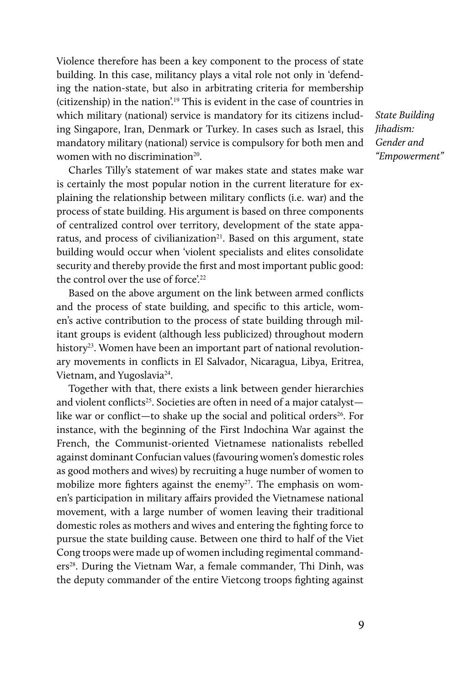Violence therefore has been a key component to the process of state building. In this case, militancy plays a vital role not only in 'defending the nation-state, but also in arbitrating criteria for membership (citizenship) in the nation'.19 This is evident in the case of countries in which military (national) service is mandatory for its citizens including Singapore, Iran, Denmark or Turkey. In cases such as Israel, this mandatory military (national) service is compulsory for both men and women with no discrimination<sup>20</sup>.

Charles Tilly's statement of war makes state and states make war is certainly the most popular notion in the current literature for explaining the relationship between military conflicts (i.e. war) and the process of state building. His argument is based on three components of centralized control over territory, development of the state apparatus, and process of civilianization $21$ . Based on this argument, state building would occur when 'violent specialists and elites consolidate security and thereby provide the first and most important public good: the control over the use of force'.<sup>22</sup>

Based on the above argument on the link between armed conflicts and the process of state building, and specific to this article, women's active contribution to the process of state building through militant groups is evident (although less publicized) throughout modern history<sup>23</sup>. Women have been an important part of national revolutionary movements in conflicts in El Salvador, Nicaragua, Libya, Eritrea, Vietnam, and Yugoslavia<sup>24</sup>.

Together with that, there exists a link between gender hierarchies and violent conflicts<sup>25</sup>. Societies are often in need of a major catalyst like war or conflict—to shake up the social and political orders<sup>26</sup>. For instance, with the beginning of the First Indochina War against the French, the Communist-oriented Vietnamese nationalists rebelled against dominant Confucian values (favouring women's domestic roles as good mothers and wives) by recruiting a huge number of women to mobilize more fighters against the enemy<sup>27</sup>. The emphasis on women's participation in military affairs provided the Vietnamese national movement, with a large number of women leaving their traditional domestic roles as mothers and wives and entering the fighting force to pursue the state building cause. Between one third to half of the Viet Cong troops were made up of women including regimental commanders<sup>28</sup>. During the Vietnam War, a female commander, Thi Dinh, was the deputy commander of the entire Vietcong troops fighting against

*State Building Jihadism: Gender and "Empowerment"*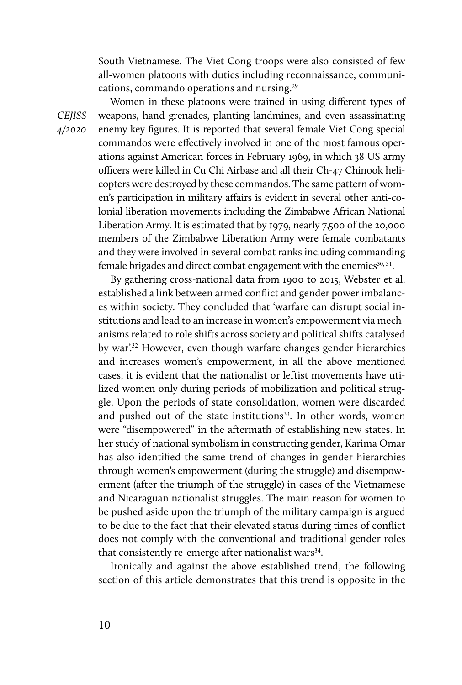South Vietnamese. The Viet Cong troops were also consisted of few all-women platoons with duties including reconnaissance, communications, commando operations and nursing.<sup>29</sup>

*CEJISS 4/2020* 

Women in these platoons were trained in using different types of weapons, hand grenades, planting landmines, and even assassinating enemy key figures. It is reported that several female Viet Cong special commandos were effectively involved in one of the most famous operations against American forces in February 1969, in which 38 US army officers were killed in Cu Chi Airbase and all their Ch-47 Chinook helicopters were destroyed by these commandos. The same pattern of women's participation in military affairs is evident in several other anti-colonial liberation movements including the Zimbabwe African National Liberation Army. It is estimated that by 1979, nearly 7,500 of the 20,000 members of the Zimbabwe Liberation Army were female combatants and they were involved in several combat ranks including commanding female brigades and direct combat engagement with the enemies<sup>30, 31</sup>.

By gathering cross-national data from 1900 to 2015, Webster et al. established a link between armed conflict and gender power imbalances within society. They concluded that 'warfare can disrupt social institutions and lead to an increase in women's empowerment via mechanisms related to role shifts across society and political shifts catalysed by war'.<sup>32</sup> However, even though warfare changes gender hierarchies and increases women's empowerment, in all the above mentioned cases, it is evident that the nationalist or leftist movements have utilized women only during periods of mobilization and political struggle. Upon the periods of state consolidation, women were discarded and pushed out of the state institutions<sup>33</sup>. In other words, women were "disempowered" in the aftermath of establishing new states. In her study of national symbolism in constructing gender, Karima Omar has also identified the same trend of changes in gender hierarchies through women's empowerment (during the struggle) and disempowerment (after the triumph of the struggle) in cases of the Vietnamese and Nicaraguan nationalist struggles. The main reason for women to be pushed aside upon the triumph of the military campaign is argued to be due to the fact that their elevated status during times of conflict does not comply with the conventional and traditional gender roles that consistently re-emerge after nationalist wars $34$ .

Ironically and against the above established trend, the following section of this article demonstrates that this trend is opposite in the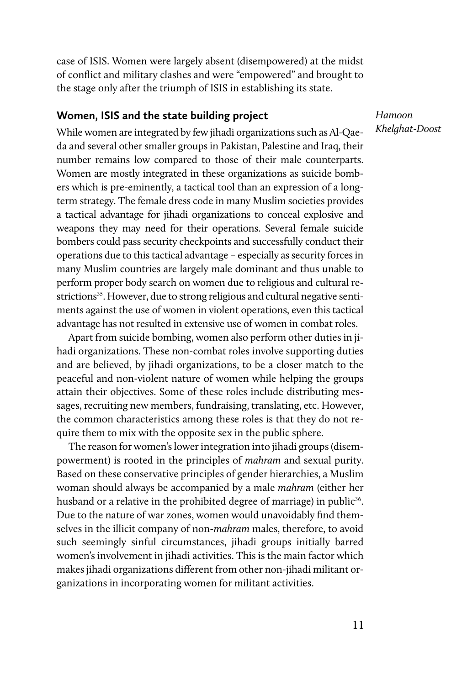case of ISIS. Women were largely absent (disempowered) at the midst of conflict and military clashes and were "empowered" and brought to the stage only after the triumph of ISIS in establishing its state.

#### **Women, ISIS and the state building project**

*Hamoon Khelghat-Doost*

While women are integrated by few jihadi organizations such as Al-Qaeda and several other smaller groups in Pakistan, Palestine and Iraq, their number remains low compared to those of their male counterparts. Women are mostly integrated in these organizations as suicide bombers which is pre-eminently, a tactical tool than an expression of a longterm strategy. The female dress code in many Muslim societies provides a tactical advantage for jihadi organizations to conceal explosive and weapons they may need for their operations. Several female suicide bombers could pass security checkpoints and successfully conduct their operations due to this tactical advantage – especially as security forces in many Muslim countries are largely male dominant and thus unable to perform proper body search on women due to religious and cultural restrictions<sup>35</sup>. However, due to strong religious and cultural negative sentiments against the use of women in violent operations, even this tactical advantage has not resulted in extensive use of women in combat roles.

Apart from suicide bombing, women also perform other duties in jihadi organizations. These non-combat roles involve supporting duties and are believed, by jihadi organizations, to be a closer match to the peaceful and non-violent nature of women while helping the groups attain their objectives. Some of these roles include distributing messages, recruiting new members, fundraising, translating, etc. However, the common characteristics among these roles is that they do not require them to mix with the opposite sex in the public sphere.

The reason for women's lower integration into jihadi groups (disempowerment) is rooted in the principles of *mahram* and sexual purity. Based on these conservative principles of gender hierarchies, a Muslim woman should always be accompanied by a male *mahram* (either her husband or a relative in the prohibited degree of marriage) in public<sup>36</sup>. Due to the nature of war zones, women would unavoidably find themselves in the illicit company of non-*mahram* males, therefore, to avoid such seemingly sinful circumstances, jihadi groups initially barred women's involvement in jihadi activities. This is the main factor which makes jihadi organizations different from other non-jihadi militant organizations in incorporating women for militant activities.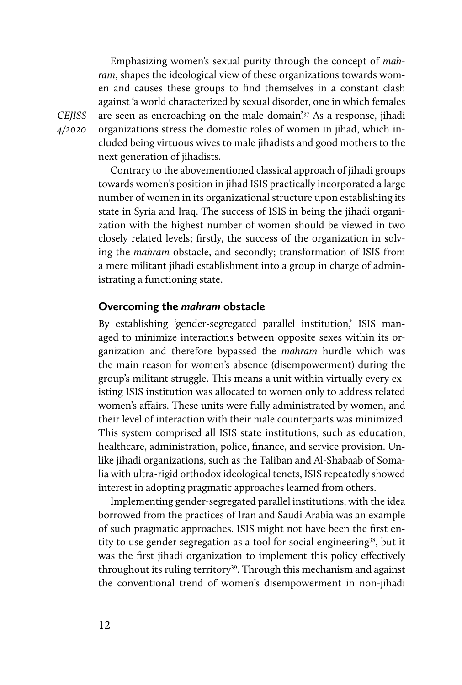Emphasizing women's sexual purity through the concept of *mahram*, shapes the ideological view of these organizations towards women and causes these groups to find themselves in a constant clash against 'a world characterized by sexual disorder, one in which females are seen as encroaching on the male domain'<sup>37</sup> As a response, jihadi organizations stress the domestic roles of women in jihad, which included being virtuous wives to male jihadists and good mothers to the next generation of jihadists.

Contrary to the abovementioned classical approach of jihadi groups towards women's position in jihad ISIS practically incorporated a large number of women in its organizational structure upon establishing its state in Syria and Iraq. The success of ISIS in being the jihadi organization with the highest number of women should be viewed in two closely related levels; firstly, the success of the organization in solving the *mahram* obstacle, and secondly; transformation of ISIS from a mere militant jihadi establishment into a group in charge of administrating a functioning state.

#### **Overcoming the** *mahram* **obstacle**

By establishing 'gender-segregated parallel institution,' ISIS managed to minimize interactions between opposite sexes within its organization and therefore bypassed the *mahram* hurdle which was the main reason for women's absence (disempowerment) during the group's militant struggle. This means a unit within virtually every existing ISIS institution was allocated to women only to address related women's affairs. These units were fully administrated by women, and their level of interaction with their male counterparts was minimized. This system comprised all ISIS state institutions, such as education, healthcare, administration, police, finance, and service provision. Unlike jihadi organizations, such as the Taliban and Al-Shabaab of Somalia with ultra-rigid orthodox ideological tenets, ISIS repeatedly showed interest in adopting pragmatic approaches learned from others.

Implementing gender-segregated parallel institutions, with the idea borrowed from the practices of Iran and Saudi Arabia was an example of such pragmatic approaches. ISIS might not have been the first entity to use gender segregation as a tool for social engineering<sup>38</sup>, but it was the first jihadi organization to implement this policy effectively throughout its ruling territory<sup>39</sup>. Through this mechanism and against the conventional trend of women's disempowerment in non-jihadi

*CEJISS 4/2020*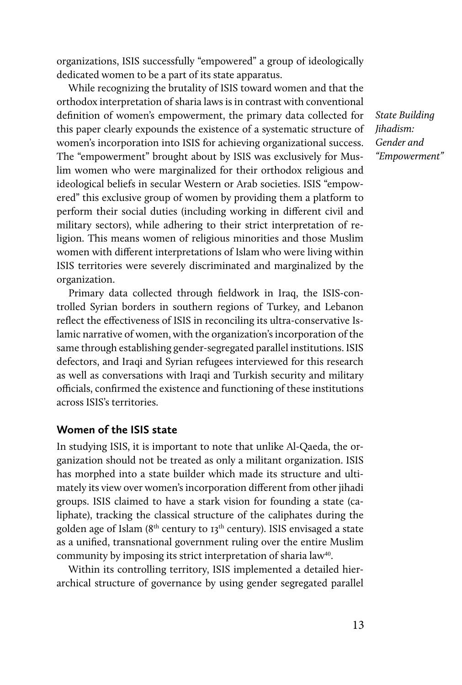organizations, ISIS successfully "empowered" a group of ideologically dedicated women to be a part of its state apparatus.

While recognizing the brutality of ISIS toward women and that the orthodox interpretation of sharia laws is in contrast with conventional definition of women's empowerment, the primary data collected for this paper clearly expounds the existence of a systematic structure of women's incorporation into ISIS for achieving organizational success. The "empowerment" brought about by ISIS was exclusively for Muslim women who were marginalized for their orthodox religious and ideological beliefs in secular Western or Arab societies. ISIS "empowered" this exclusive group of women by providing them a platform to perform their social duties (including working in different civil and military sectors), while adhering to their strict interpretation of religion. This means women of religious minorities and those Muslim women with different interpretations of Islam who were living within ISIS territories were severely discriminated and marginalized by the organization.

Primary data collected through fieldwork in Iraq, the ISIS-controlled Syrian borders in southern regions of Turkey, and Lebanon reflect the effectiveness of ISIS in reconciling its ultra-conservative Islamic narrative of women, with the organization's incorporation of the same through establishing gender-segregated parallel institutions. ISIS defectors, and Iraqi and Syrian refugees interviewed for this research as well as conversations with Iraqi and Turkish security and military officials, confirmed the existence and functioning of these institutions across ISIS's territories.

# **Women of the ISIS state**

In studying ISIS, it is important to note that unlike Al-Qaeda, the organization should not be treated as only a militant organization. ISIS has morphed into a state builder which made its structure and ultimately its view over women's incorporation different from other jihadi groups. ISIS claimed to have a stark vision for founding a state (caliphate), tracking the classical structure of the caliphates during the golden age of Islam ( $8<sup>th</sup>$  century to  $13<sup>th</sup>$  century). ISIS envisaged a state as a unified, transnational government ruling over the entire Muslim community by imposing its strict interpretation of sharia law<sup>40</sup>.

Within its controlling territory, ISIS implemented a detailed hierarchical structure of governance by using gender segregated parallel

*State Building Jihadism: Gender and "Empowerment"*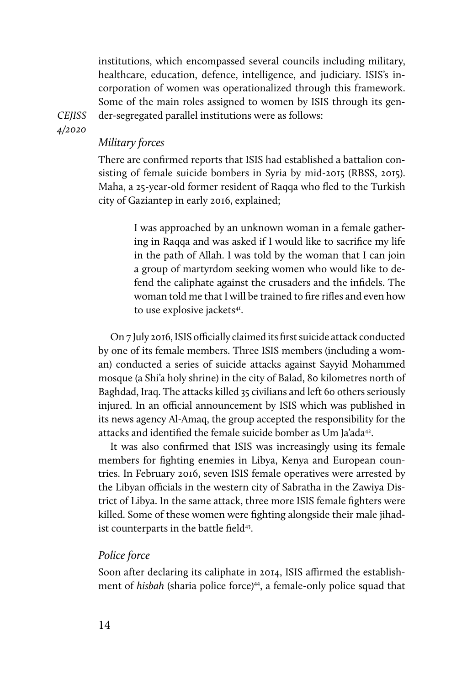institutions, which encompassed several councils including military, healthcare, education, defence, intelligence, and judiciary. ISIS's incorporation of women was operationalized through this framework. Some of the main roles assigned to women by ISIS through its gender-segregated parallel institutions were as follows:

*CEJISS 4/2020* 

# *Military forces*

There are confirmed reports that ISIS had established a battalion consisting of female suicide bombers in Syria by mid-2015 (RBSS, 2015). Maha, a 25-year-old former resident of Raqqa who fled to the Turkish city of Gaziantep in early 2016, explained;

> I was approached by an unknown woman in a female gathering in Raqqa and was asked if I would like to sacrifice my life in the path of Allah. I was told by the woman that I can join a group of martyrdom seeking women who would like to defend the caliphate against the crusaders and the infidels. The woman told me that I will be trained to fire rifles and even how to use explosive jackets<sup>41</sup>.

On 7 July 2016, ISIS officially claimed its first suicide attack conducted by one of its female members. Three ISIS members (including a woman) conducted a series of suicide attacks against Sayyid Mohammed mosque (a Shi'a holy shrine) in the city of Balad, 80 kilometres north of Baghdad, Iraq. The attacks killed 35 civilians and left 60 others seriously injured. In an official announcement by ISIS which was published in its news agency Al-Amaq, the group accepted the responsibility for the attacks and identified the female suicide bomber as Um Ja'ada<sup>42</sup>.

It was also confirmed that ISIS was increasingly using its female members for fighting enemies in Libya, Kenya and European countries. In February 2016, seven ISIS female operatives were arrested by the Libyan officials in the western city of Sabratha in the Zawiya District of Libya. In the same attack, three more ISIS female fighters were killed. Some of these women were fighting alongside their male jihadist counterparts in the battle field<sup>43</sup>.

#### *Police force*

Soon after declaring its caliphate in 2014, ISIS affirmed the establishment of *hisbah* (sharia police force)<sup>44</sup>, a female-only police squad that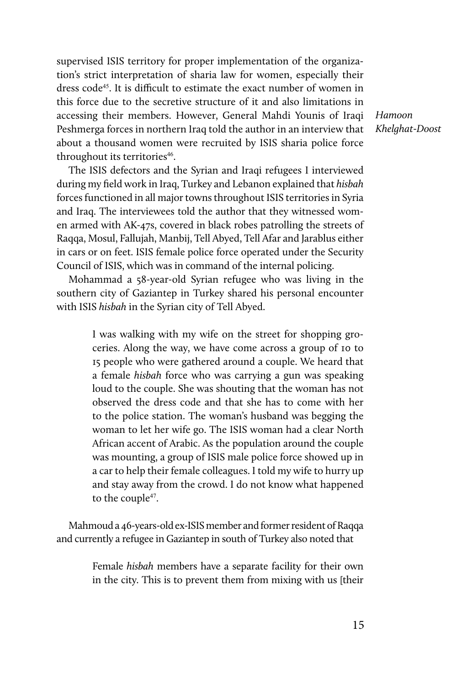supervised ISIS territory for proper implementation of the organization's strict interpretation of sharia law for women, especially their dress code<sup>45</sup>. It is difficult to estimate the exact number of women in this force due to the secretive structure of it and also limitations in accessing their members. However, General Mahdi Younis of Iraqi Peshmerga forces in northern Iraq told the author in an interview that about a thousand women were recruited by ISIS sharia police force throughout its territories<sup>46</sup>.

*Hamoon Khelghat-Doost*

The ISIS defectors and the Syrian and Iraqi refugees I interviewed during my field work in Iraq, Turkey and Lebanon explained that *hisbah* forces functioned in all major towns throughout ISIS territories in Syria and Iraq. The interviewees told the author that they witnessed women armed with AK-47s, covered in black robes patrolling the streets of Raqqa, Mosul, Fallujah, Manbij, Tell Abyed, Tell Afar and Jarablus either in cars or on feet. ISIS female police force operated under the Security Council of ISIS, which was in command of the internal policing.

Mohammad a 58-year-old Syrian refugee who was living in the southern city of Gaziantep in Turkey shared his personal encounter with ISIS *hisbah* in the Syrian city of Tell Abyed.

> I was walking with my wife on the street for shopping groceries. Along the way, we have come across a group of 10 to 15 people who were gathered around a couple. We heard that a female *hisbah* force who was carrying a gun was speaking loud to the couple. She was shouting that the woman has not observed the dress code and that she has to come with her to the police station. The woman's husband was begging the woman to let her wife go. The ISIS woman had a clear North African accent of Arabic. As the population around the couple was mounting, a group of ISIS male police force showed up in a car to help their female colleagues. I told my wife to hurry up and stay away from the crowd. I do not know what happened to the couple<sup>47</sup>.

Mahmoud a 46-years-old ex-ISIS member and former resident of Raqqa and currently a refugee in Gaziantep in south of Turkey also noted that

> Female *hisbah* members have a separate facility for their own in the city. This is to prevent them from mixing with us [their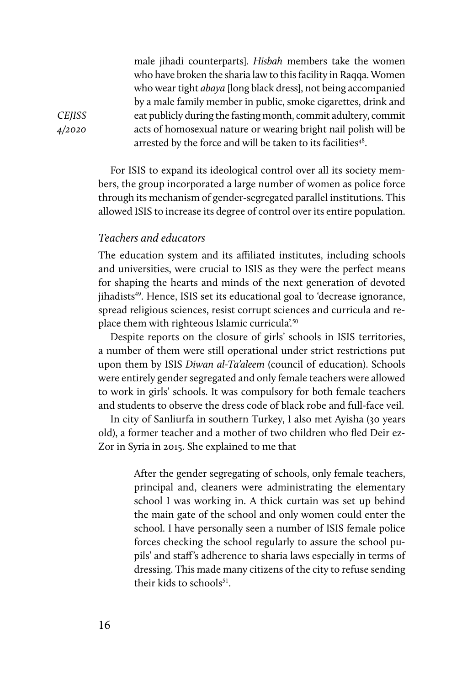male jihadi counterparts]. *Hisbah* members take the women who have broken the sharia law to this facility in Raqqa. Women who wear tight *abaya* [long black dress], not being accompanied by a male family member in public, smoke cigarettes, drink and eat publicly during the fasting month, commit adultery, commit acts of homosexual nature or wearing bright nail polish will be arrested by the force and will be taken to its facilities<sup>48</sup>.

For ISIS to expand its ideological control over all its society members, the group incorporated a large number of women as police force through its mechanism of gender-segregated parallel institutions. This allowed ISIS to increase its degree of control over its entire population.

# *Teachers and educators*

The education system and its affiliated institutes, including schools and universities, were crucial to ISIS as they were the perfect means for shaping the hearts and minds of the next generation of devoted jihadists<sup>49</sup>. Hence, ISIS set its educational goal to 'decrease ignorance, spread religious sciences, resist corrupt sciences and curricula and replace them with righteous Islamic curricula<sup>'.50</sup>

Despite reports on the closure of girls' schools in ISIS territories, a number of them were still operational under strict restrictions put upon them by ISIS *Diwan al-Ta'aleem* (council of education). Schools were entirely gender segregated and only female teachers were allowed to work in girls' schools. It was compulsory for both female teachers and students to observe the dress code of black robe and full-face veil.

In city of Sanliurfa in southern Turkey, I also met Ayisha (30 years old), a former teacher and a mother of two children who fled Deir ez-Zor in Syria in 2015. She explained to me that

> After the gender segregating of schools, only female teachers, principal and, cleaners were administrating the elementary school I was working in. A thick curtain was set up behind the main gate of the school and only women could enter the school. I have personally seen a number of ISIS female police forces checking the school regularly to assure the school pupils' and staff's adherence to sharia laws especially in terms of dressing. This made many citizens of the city to refuse sending their kids to schools<sup>51</sup>.

*CEJISS 4/2020*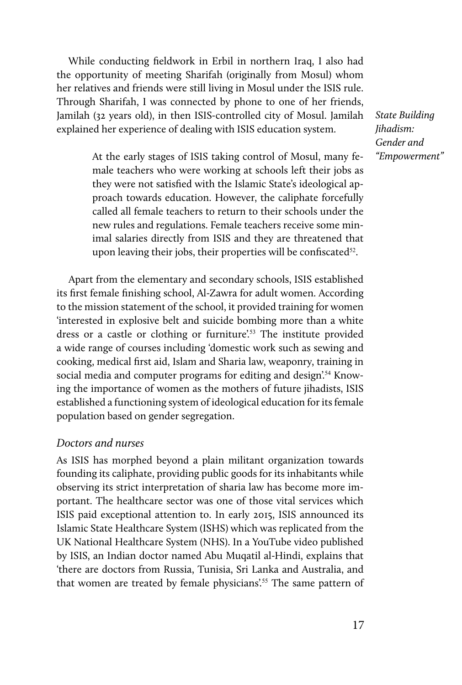While conducting fieldwork in Erbil in northern Iraq, I also had the opportunity of meeting Sharifah (originally from Mosul) whom her relatives and friends were still living in Mosul under the ISIS rule. Through Sharifah, I was connected by phone to one of her friends, Jamilah (32 years old), in then ISIS-controlled city of Mosul. Jamilah explained her experience of dealing with ISIS education system.

*State Building Jihadism: Gender and "Empowerment"*

At the early stages of ISIS taking control of Mosul, many female teachers who were working at schools left their jobs as they were not satisfied with the Islamic State's ideological approach towards education. However, the caliphate forcefully called all female teachers to return to their schools under the new rules and regulations. Female teachers receive some minimal salaries directly from ISIS and they are threatened that upon leaving their jobs, their properties will be confiscated $52$ .

Apart from the elementary and secondary schools, ISIS established its first female finishing school, Al-Zawra for adult women. According to the mission statement of the school, it provided training for women 'interested in explosive belt and suicide bombing more than a white dress or a castle or clothing or furniture'.53 The institute provided a wide range of courses including 'domestic work such as sewing and cooking, medical first aid, Islam and Sharia law, weaponry, training in social media and computer programs for editing and design.<sup>54</sup> Knowing the importance of women as the mothers of future jihadists, ISIS established a functioning system of ideological education for its female population based on gender segregation.

# *Doctors and nurses*

As ISIS has morphed beyond a plain militant organization towards founding its caliphate, providing public goods for its inhabitants while observing its strict interpretation of sharia law has become more important. The healthcare sector was one of those vital services which ISIS paid exceptional attention to. In early 2015, ISIS announced its Islamic State Healthcare System (ISHS) which was replicated from the UK National Healthcare System (NHS). In a YouTube video published by ISIS, an Indian doctor named Abu Muqatil al-Hindi, explains that 'there are doctors from Russia, Tunisia, Sri Lanka and Australia, and that women are treated by female physicians'.55 The same pattern of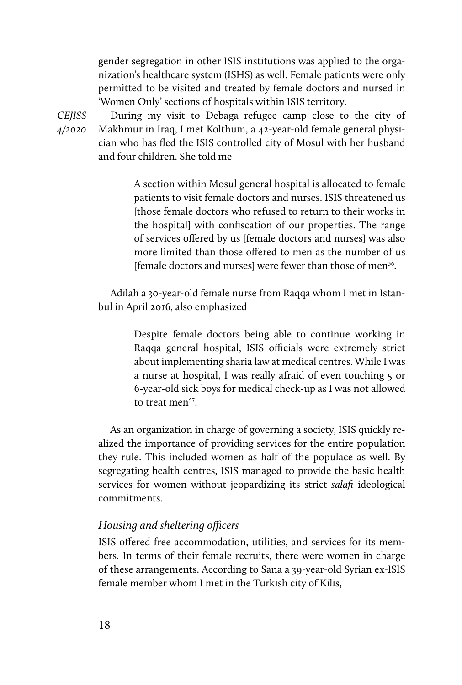gender segregation in other ISIS institutions was applied to the organization's healthcare system (ISHS) as well. Female patients were only permitted to be visited and treated by female doctors and nursed in 'Women Only' sections of hospitals within ISIS territory.

*CEJISS 4/2020* 

During my visit to Debaga refugee camp close to the city of Makhmur in Iraq, I met Kolthum, a 42-year-old female general physician who has fled the ISIS controlled city of Mosul with her husband and four children. She told me

> A section within Mosul general hospital is allocated to female patients to visit female doctors and nurses. ISIS threatened us [those female doctors who refused to return to their works in the hospital] with confiscation of our properties. The range of services offered by us [female doctors and nurses] was also more limited than those offered to men as the number of us [female doctors and nurses] were fewer than those of men<sup>56</sup>.

Adilah a 30-year-old female nurse from Raqqa whom I met in Istanbul in April 2016, also emphasized

> Despite female doctors being able to continue working in Raqqa general hospital, ISIS officials were extremely strict about implementing sharia law at medical centres. While I was a nurse at hospital, I was really afraid of even touching 5 or 6-year-old sick boys for medical check-up as I was not allowed to treat men<sup>57</sup>.

As an organization in charge of governing a society, ISIS quickly realized the importance of providing services for the entire population they rule. This included women as half of the populace as well. By segregating health centres, ISIS managed to provide the basic health services for women without jeopardizing its strict *salafi* ideological commitments.

# *Housing and sheltering officers*

ISIS offered free accommodation, utilities, and services for its members. In terms of their female recruits, there were women in charge of these arrangements. According to Sana a 39-year-old Syrian ex-ISIS female member whom I met in the Turkish city of Kilis,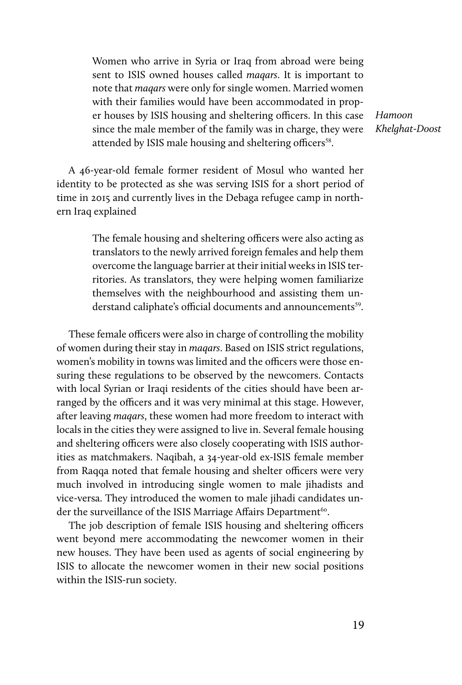Women who arrive in Syria or Iraq from abroad were being sent to ISIS owned houses called *maqars*. It is important to note that *maqars* were only for single women. Married women with their families would have been accommodated in proper houses by ISIS housing and sheltering officers. In this case since the male member of the family was in charge, they were attended by ISIS male housing and sheltering officers<sup>58</sup>.

*Hamoon Khelghat-Doost*

A 46-year-old female former resident of Mosul who wanted her identity to be protected as she was serving ISIS for a short period of time in 2015 and currently lives in the Debaga refugee camp in northern Iraq explained

> The female housing and sheltering officers were also acting as translators to the newly arrived foreign females and help them overcome the language barrier at their initial weeks in ISIS territories. As translators, they were helping women familiarize themselves with the neighbourhood and assisting them understand caliphate's official documents and announcements<sup>59</sup>.

These female officers were also in charge of controlling the mobility of women during their stay in *maqars*. Based on ISIS strict regulations, women's mobility in towns was limited and the officers were those ensuring these regulations to be observed by the newcomers. Contacts with local Syrian or Iraqi residents of the cities should have been arranged by the officers and it was very minimal at this stage. However, after leaving *maqars*, these women had more freedom to interact with locals in the cities they were assigned to live in. Several female housing and sheltering officers were also closely cooperating with ISIS authorities as matchmakers. Naqibah, a 34-year-old ex-ISIS female member from Raqqa noted that female housing and shelter officers were very much involved in introducing single women to male jihadists and vice-versa. They introduced the women to male jihadi candidates under the surveillance of the ISIS Marriage Affairs Department<sup>60</sup>.

The job description of female ISIS housing and sheltering officers went beyond mere accommodating the newcomer women in their new houses. They have been used as agents of social engineering by ISIS to allocate the newcomer women in their new social positions within the ISIS-run society.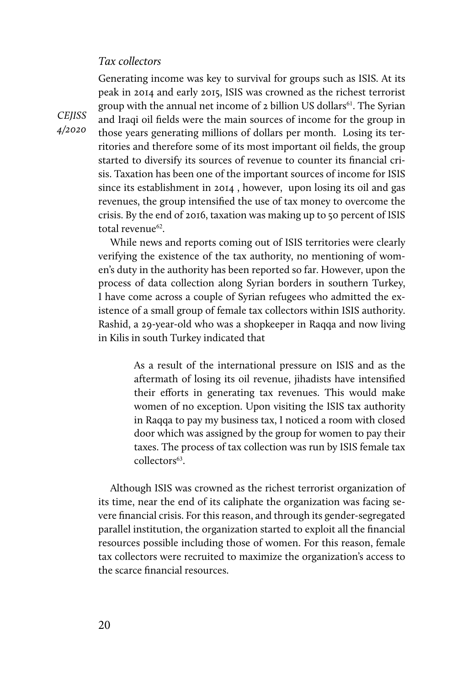# *Tax collectors*

Generating income was key to survival for groups such as ISIS. At its peak in 2014 and early 2015, ISIS was crowned as the richest terrorist group with the annual net income of 2 billion US dollars<sup>61</sup>. The Syrian and Iraqi oil fields were the main sources of income for the group in those years generating millions of dollars per month. Losing its territories and therefore some of its most important oil fields, the group started to diversify its sources of revenue to counter its financial crisis. Taxation has been one of the important sources of income for ISIS since its establishment in 2014 , however, upon losing its oil and gas revenues, the group intensified the use of tax money to overcome the crisis. By the end of 2016, taxation was making up to 50 percent of ISIS total revenue<sup>62</sup>.

While news and reports coming out of ISIS territories were clearly verifying the existence of the tax authority, no mentioning of women's duty in the authority has been reported so far. However, upon the process of data collection along Syrian borders in southern Turkey, I have come across a couple of Syrian refugees who admitted the existence of a small group of female tax collectors within ISIS authority. Rashid, a 29-year-old who was a shopkeeper in Raqqa and now living in Kilis in south Turkey indicated that

> As a result of the international pressure on ISIS and as the aftermath of losing its oil revenue, jihadists have intensified their efforts in generating tax revenues. This would make women of no exception. Upon visiting the ISIS tax authority in Raqqa to pay my business tax, I noticed a room with closed door which was assigned by the group for women to pay their taxes. The process of tax collection was run by ISIS female tax collectors<sup>63</sup>.

Although ISIS was crowned as the richest terrorist organization of its time, near the end of its caliphate the organization was facing severe financial crisis. For this reason, and through its gender-segregated parallel institution, the organization started to exploit all the financial resources possible including those of women. For this reason, female tax collectors were recruited to maximize the organization's access to the scarce financial resources.

*CEJISS 4/2020*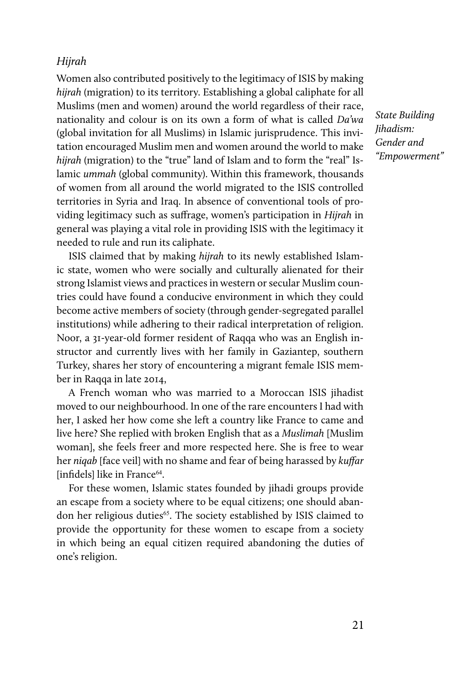## *Hijrah*

Women also contributed positively to the legitimacy of ISIS by making *hijrah* (migration) to its territory. Establishing a global caliphate for all Muslims (men and women) around the world regardless of their race, nationality and colour is on its own a form of what is called *Da'wa*  (global invitation for all Muslims) in Islamic jurisprudence. This invitation encouraged Muslim men and women around the world to make *hijrah* (migration) to the "true" land of Islam and to form the "real" Islamic *ummah* (global community). Within this framework, thousands of women from all around the world migrated to the ISIS controlled territories in Syria and Iraq. In absence of conventional tools of providing legitimacy such as suffrage, women's participation in *Hijrah* in general was playing a vital role in providing ISIS with the legitimacy it needed to rule and run its caliphate.

ISIS claimed that by making *hijrah* to its newly established Islamic state, women who were socially and culturally alienated for their strong Islamist views and practices in western or secular Muslim countries could have found a conducive environment in which they could become active members of society (through gender-segregated parallel institutions) while adhering to their radical interpretation of religion. Noor, a 31-year-old former resident of Raqqa who was an English instructor and currently lives with her family in Gaziantep, southern Turkey, shares her story of encountering a migrant female ISIS member in Raqqa in late 2014,

A French woman who was married to a Moroccan ISIS jihadist moved to our neighbourhood. In one of the rare encounters I had with her, I asked her how come she left a country like France to came and live here? She replied with broken English that as a *Muslimah* [Muslim woman], she feels freer and more respected here. She is free to wear her *niqab* [face veil] with no shame and fear of being harassed by *kuffar* [infidels] like in France<sup>64</sup>.

For these women, Islamic states founded by jihadi groups provide an escape from a society where to be equal citizens; one should abandon her religious duties<sup>65</sup>. The society established by ISIS claimed to provide the opportunity for these women to escape from a society in which being an equal citizen required abandoning the duties of one's religion.

*State Building Jihadism: Gender and "Empowerment"*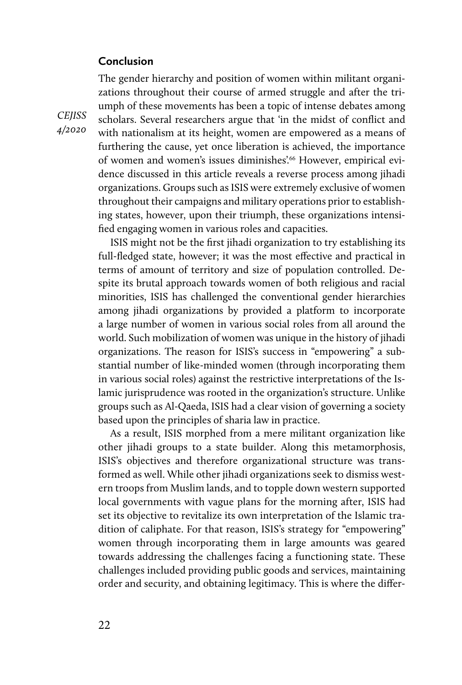# **Conclusion**

The gender hierarchy and position of women within militant organizations throughout their course of armed struggle and after the triumph of these movements has been a topic of intense debates among scholars. Several researchers argue that 'in the midst of conflict and with nationalism at its height, women are empowered as a means of furthering the cause, yet once liberation is achieved, the importance of women and women's issues diminishes'.<sup>66</sup> However, empirical evidence discussed in this article reveals a reverse process among jihadi organizations. Groups such as ISIS were extremely exclusive of women throughout their campaigns and military operations prior to establishing states, however, upon their triumph, these organizations intensified engaging women in various roles and capacities.

ISIS might not be the first jihadi organization to try establishing its full-fledged state, however; it was the most effective and practical in terms of amount of territory and size of population controlled. Despite its brutal approach towards women of both religious and racial minorities, ISIS has challenged the conventional gender hierarchies among jihadi organizations by provided a platform to incorporate a large number of women in various social roles from all around the world. Such mobilization of women was unique in the history of jihadi organizations. The reason for ISIS's success in "empowering" a substantial number of like-minded women (through incorporating them in various social roles) against the restrictive interpretations of the Islamic jurisprudence was rooted in the organization's structure. Unlike groups such as Al-Qaeda, ISIS had a clear vision of governing a society based upon the principles of sharia law in practice.

As a result, ISIS morphed from a mere militant organization like other jihadi groups to a state builder. Along this metamorphosis, ISIS's objectives and therefore organizational structure was transformed as well. While other jihadi organizations seek to dismiss western troops from Muslim lands, and to topple down western supported local governments with vague plans for the morning after, ISIS had set its objective to revitalize its own interpretation of the Islamic tradition of caliphate. For that reason, ISIS's strategy for "empowering" women through incorporating them in large amounts was geared towards addressing the challenges facing a functioning state. These challenges included providing public goods and services, maintaining order and security, and obtaining legitimacy. This is where the differ-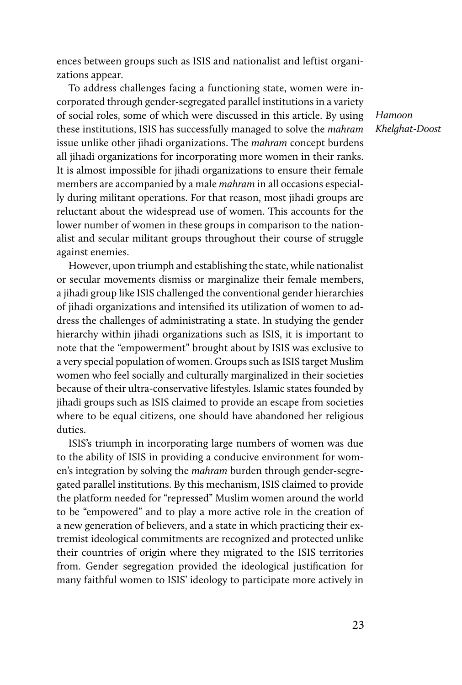ences between groups such as ISIS and nationalist and leftist organizations appear.

To address challenges facing a functioning state, women were incorporated through gender-segregated parallel institutions in a variety of social roles, some of which were discussed in this article. By using these institutions, ISIS has successfully managed to solve the *mahram* issue unlike other jihadi organizations. The *mahram* concept burdens all jihadi organizations for incorporating more women in their ranks. It is almost impossible for jihadi organizations to ensure their female members are accompanied by a male *mahram* in all occasions especially during militant operations. For that reason, most jihadi groups are reluctant about the widespread use of women. This accounts for the lower number of women in these groups in comparison to the nationalist and secular militant groups throughout their course of struggle against enemies.

However, upon triumph and establishing the state, while nationalist or secular movements dismiss or marginalize their female members, a jihadi group like ISIS challenged the conventional gender hierarchies of jihadi organizations and intensified its utilization of women to address the challenges of administrating a state. In studying the gender hierarchy within jihadi organizations such as ISIS, it is important to note that the "empowerment" brought about by ISIS was exclusive to a very special population of women. Groups such as ISIS target Muslim women who feel socially and culturally marginalized in their societies because of their ultra-conservative lifestyles. Islamic states founded by jihadi groups such as ISIS claimed to provide an escape from societies where to be equal citizens, one should have abandoned her religious duties.

ISIS's triumph in incorporating large numbers of women was due to the ability of ISIS in providing a conducive environment for women's integration by solving the *mahram* burden through gender-segregated parallel institutions. By this mechanism, ISIS claimed to provide the platform needed for "repressed" Muslim women around the world to be "empowered" and to play a more active role in the creation of a new generation of believers, and a state in which practicing their extremist ideological commitments are recognized and protected unlike their countries of origin where they migrated to the ISIS territories from. Gender segregation provided the ideological justification for many faithful women to ISIS' ideology to participate more actively in

*Hamoon Khelghat-Doost*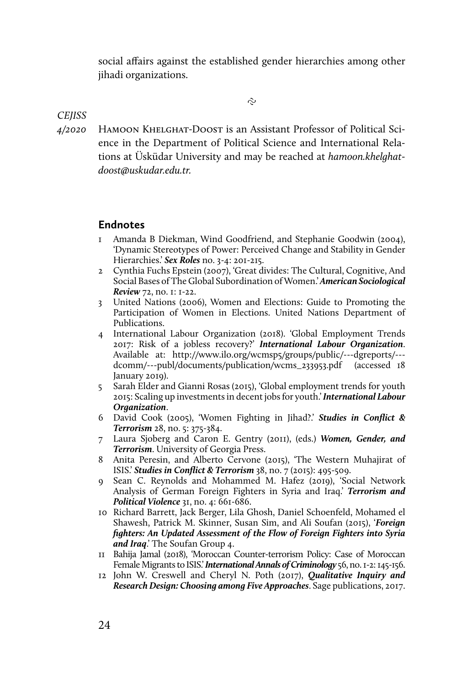social affairs against the established gender hierarchies among other jihadi organizations.

ς.

#### *CEJISS*

*4/2020*  HAMOON KHELGHAT-DOOST is an Assistant Professor of Political Science in the Department of Political Science and International Relations at Üsküdar University and may be reached at *hamoon.khelghatdoost@uskudar.edu.tr.*

# **Endnotes**

- 1 Amanda B Diekman, Wind Goodfriend, and Stephanie Goodwin (2004), 'Dynamic Stereotypes of Power: Perceived Change and Stability in Gender Hierarchies.' *Sex Roles* no. 3-4: 201-215.
- 2 Cynthia Fuchs Epstein (2007), 'Great divides: The Cultural, Cognitive, And Social Bases of The Global Subordination of Women.' *American Sociological Review* 72, no. 1: 1-22.
- 3 United Nations (2006), Women and Elections: Guide to Promoting the Participation of Women in Elections. United Nations Department of Publications.
- 4 International Labour Organization (2018). 'Global Employment Trends 2017: Risk of a jobless recovery?' *International Labour Organization*. Available at: http://www.ilo.org/wcmsp5/groups/public/---dgreports/-- dcomm/---publ/documents/publication/wcms\_233953.pdf (accessed 18 January 2019).
- 5 Sarah Elder and Gianni Rosas (2015), 'Global employment trends for youth 2015: Scaling up investments in decent jobs for youth.' *International Labour Organization*.
- 6 David Cook (2005), 'Women Fighting in Jihad?.' *Studies in Conflict & Terrorism* 28, no. 5: 375-384.
- 7 Laura Sjoberg and Caron E. Gentry (2011), (eds.) *Women, Gender, and Terrorism*. University of Georgia Press.
- 8 Anita Peresin, and Alberto Cervone (2015), 'The Western Muhajirat of ISIS.' *Studies in Conflict & Terrorism* 38, no. 7 (2015): 495-509.
- 9 Sean C. Reynolds and Mohammed M. Hafez (2019), 'Social Network Analysis of German Foreign Fighters in Syria and Iraq.' *Terrorism and Political Violence* 31, no. 4: 661-686.
- 10 Richard Barrett, Jack Berger, Lila Ghosh, Daniel Schoenfeld, Mohamed el Shawesh, Patrick M. Skinner, Susan Sim, and Ali Soufan (2015), '*Foreign fighters: An Updated Assessment of the Flow of Foreign Fighters into Syria and Iraq*.' The Soufan Group 4.
- 11 Bahija Jamal (2018), 'Moroccan Counter-terrorism Policy: Case of Moroccan Female Migrants to ISIS.' *International Annals of Criminology* 56, no. 1-2: 145-156.
- 12 John W. Creswell and Cheryl N. Poth (2017), *Qualitative Inquiry and Research Design: Choosing among Five Approaches*. Sage publications, 2017.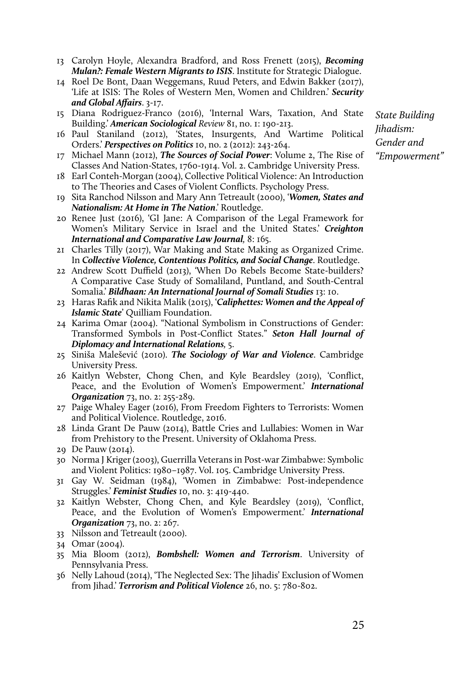- 13 Carolyn Hoyle, Alexandra Bradford, and Ross Frenett (2015), *Becoming Mulan?: Female Western Migrants to ISIS*. Institute for Strategic Dialogue.
- 14 Roel De Bont, Daan Weggemans, Ruud Peters, and Edwin Bakker (2017), 'Life at ISIS: The Roles of Western Men, Women and Children.' *Security and Global Affairs*. 3-17.
- 15 Diana Rodriguez-Franco (2016), 'Internal Wars, Taxation, And State Building.' *American Sociological Review* 81, no. 1: 190-213.
- 16 Paul Staniland (2012), 'States, Insurgents, And Wartime Political Orders.' *Perspectives on Politics* 10, no. 2 (2012): 243-264.
- 17 Michael Mann (2012), *The Sources of Social Power*: Volume 2, The Rise of Classes And Nation-States, 1760-1914. Vol. 2. Cambridge University Press.
- 18 Earl Conteh-Morgan (2004), Collective Political Violence: An Introduction to The Theories and Cases of Violent Conflicts. Psychology Press.
- 19 Sita Ranchod Nilsson and Mary Ann Tetreault (2000), '*Women, States and Nationalism: At Home in The Nation*.' Routledge.
- 20 Renee Just (2016), 'GI Jane: A Comparison of the Legal Framework for Women's Military Service in Israel and the United States.' *Creighton International and Comparative Law Journal,* 8: 165.
- 21 Charles Tilly (2017), War Making and State Making as Organized Crime. In *Collective Violence, Contentious Politics, and Social Change*. Routledge.
- 22 Andrew Scott Duffield (2013), 'When Do Rebels Become State-builders? A Comparative Case Study of Somaliland, Puntland, and South-Central Somalia.' *Bildhaan: An International Journal of Somali Studies* 13: 10.
- 23 Haras Rafik and Nikita Malik (2015), '*Caliphettes: Women and the Appeal of Islamic State*' Quilliam Foundation.
- 24 Karima Omar (2004). "National Symbolism in Constructions of Gender: Transformed Symbols in Post-Conflict States." *Seton Hall Journal of Diplomacy and International Relations,* 5.
- 25 Siniša Malešević (2010). *The Sociology of War and Violence*. Cambridge University Press.
- 26 Kaitlyn Webster, Chong Chen, and Kyle Beardsley (2019), 'Conflict, Peace, and the Evolution of Women's Empowerment.' *International Organization* 73, no. 2: 255-289.
- 27 Paige Whaley Eager (2016), From Freedom Fighters to Terrorists: Women and Political Violence. Routledge, 2016.
- 28 Linda Grant De Pauw (2014), Battle Cries and Lullabies: Women in War from Prehistory to the Present. University of Oklahoma Press.
- 29 De Pauw (2014).
- 30 Norma J Kriger (2003), Guerrilla Veterans in Post-war Zimbabwe: Symbolic and Violent Politics: 1980–1987. Vol. 105. Cambridge University Press.
- 31 Gay W. Seidman (1984), 'Women in Zimbabwe: Post-independence Struggles.' *Feminist Studies* 10, no. 3: 419-440.
- 32 Kaitlyn Webster, Chong Chen, and Kyle Beardsley (2019), 'Conflict, Peace, and the Evolution of Women's Empowerment.' *International Organization* 73, no. 2: 267.
- 33 Nilsson and Tetreault (2000).
- 34 Omar (2004).
- 35 Mia Bloom (2012), *Bombshell: Women and Terrorism*. University of Pennsylvania Press.
- 36 Nelly Lahoud (2014), 'The Neglected Sex: The Jihadis' Exclusion of Women from Jihad.' *Terrorism and Political Violence* 26, no. 5: 780-802.

*State Building Jihadism: Gender and "Empowerment"*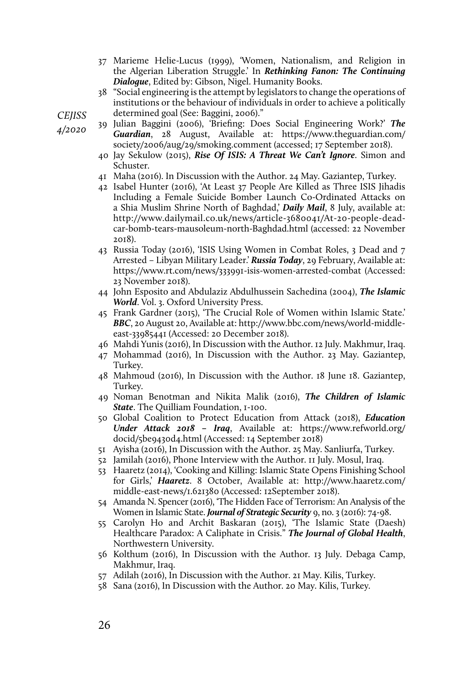- 37 Marieme Helie-Lucus (1999), 'Women, Nationalism, and Religion in the Algerian Liberation Struggle.' In *Rethinking Fanon: The Continuing Dialogue*, Edited by: Gibson, Nigel. Humanity Books.
- 38 "Social engineering is the attempt by legislators to change the operations of institutions or the behaviour of individuals in order to achieve a politically determined goal (See: Baggini, 2006)."

*CEJISS* 

*4/2020* 

- 39 Julian Baggini (2006), 'Briefing: Does Social Engineering Work?' *The Guardian*, 28 August, Available at: https://www.theguardian.com/ society/2006/aug/29/smoking.comment (accessed; 17 September 2018).
- 40 Jay Sekulow (2015), *Rise Of ISIS: A Threat We Can't Ignore*. Simon and Schuster.
- 41 Maha (2016). In Discussion with the Author. 24 May. Gaziantep, Turkey.
- 42 Isabel Hunter (2016), 'At Least 37 People Are Killed as Three ISIS Jihadis Including a Female Suicide Bomber Launch Co-Ordinated Attacks on a Shia Muslim Shrine North of Baghdad,' *Daily Mail*, 8 July, available at: http://www.dailymail.co.uk/news/article-3680041/At-20-people-deadcar-bomb-tears-mausoleum-north-Baghdad.html (accessed: 22 November 2018).
- 43 Russia Today (2016), 'ISIS Using Women in Combat Roles, 3 Dead and 7 Arrested – Libyan Military Leader.' *Russia Today*, 29 February, Available at: https://www.rt.com/news/333991-isis-women-arrested-combat (Accessed: 23 November 2018).
- 44 John Esposito and Abdulaziz Abdulhussein Sachedina (2004), *The Islamic World*. Vol. 3. Oxford University Press.
- 45 Frank Gardner (2015), 'The Crucial Role of Women within Islamic State.' *BBC*, 20 August 20, Available at: http://www.bbc.com/news/world-middleeast-33985441 (Accessed: 20 December 2018).
- 46 Mahdi Yunis (2016), In Discussion with the Author. 12 July. Makhmur, Iraq.
- 47 Mohammad (2016), In Discussion with the Author. 23 May. Gaziantep, Turkey.
- 48 Mahmoud (2016), In Discussion with the Author. 18 June 18. Gaziantep, Turkey.
- 49 Noman Benotman and Nikita Malik (2016), *The Children of Islamic State*. The Quilliam Foundation, 1-100.
- 50 Global Coalition to Protect Education from Attack (2018), *Education Under Attack 2018 – Iraq*, Available at: https://www.refworld.org/ docid/5be9430d4.html (Accessed: 14 September 2018)
- 51 Ayisha (2016), In Discussion with the Author. 25 May. Sanliurfa, Turkey.
- 52 Jamilah (2016), Phone Interview with the Author. 11 July. Mosul, Iraq.
- 53 Haaretz (2014), 'Cooking and Killing: Islamic State Opens Finishing School for Girls,' *Haaretz*. 8 October, Available at: http://www.haaretz.com/ middle-east-news/1.621380 (Accessed: 12September 2018).
- 54 Amanda N. Spencer (2016), 'The Hidden Face of Terrorism: An Analysis of the Women in Islamic State. *Journal of Strategic Security* 9, no. 3 (2016): 74-98.
- 55 Carolyn Ho and Archit Baskaran (2015), 'The Islamic State (Daesh) Healthcare Paradox: A Caliphate in Crisis." *The Journal of Global Health*, Northwestern University.
- 56 Kolthum (2016), In Discussion with the Author. 13 July. Debaga Camp, Makhmur, Iraq.
- 57 Adilah (2016), In Discussion with the Author. 21 May. Kilis, Turkey.
- 58 Sana (2016), In Discussion with the Author. 20 May. Kilis, Turkey.